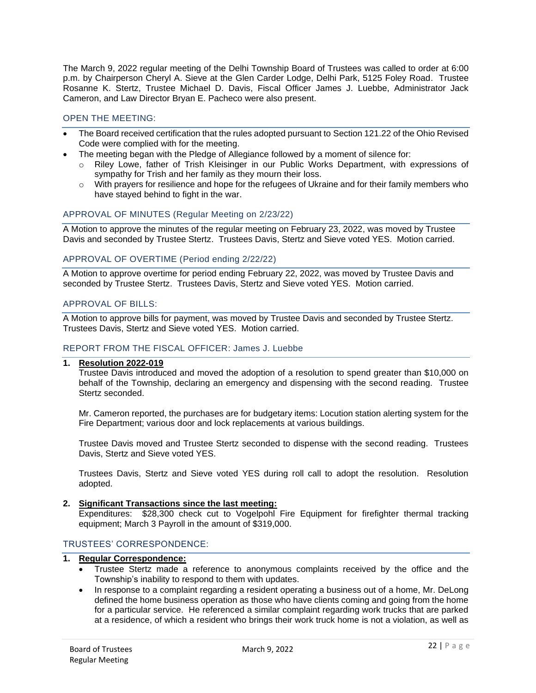The March 9, 2022 regular meeting of the Delhi Township Board of Trustees was called to order at 6:00 p.m. by Chairperson Cheryl A. Sieve at the Glen Carder Lodge, Delhi Park, 5125 Foley Road. Trustee Rosanne K. Stertz, Trustee Michael D. Davis, Fiscal Officer James J. Luebbe, Administrator Jack Cameron, and Law Director Bryan E. Pacheco were also present.

# OPEN THE MEETING:

- The Board received certification that the rules adopted pursuant to Section 121.22 of the Ohio Revised Code were complied with for the meeting.
- The meeting began with the Pledge of Allegiance followed by a moment of silence for:
	- o Riley Lowe, father of Trish Kleisinger in our Public Works Department, with expressions of sympathy for Trish and her family as they mourn their loss.
	- $\circ$  With prayers for resilience and hope for the refugees of Ukraine and for their family members who have stayed behind to fight in the war.

## APPROVAL OF MINUTES (Regular Meeting on 2/23/22)

A Motion to approve the minutes of the regular meeting on February 23, 2022, was moved by Trustee Davis and seconded by Trustee Stertz. Trustees Davis, Stertz and Sieve voted YES. Motion carried.

## APPROVAL OF OVERTIME (Period ending 2/22/22)

A Motion to approve overtime for period ending February 22, 2022, was moved by Trustee Davis and seconded by Trustee Stertz. Trustees Davis, Stertz and Sieve voted YES. Motion carried.

## APPROVAL OF BILLS:

A Motion to approve bills for payment, was moved by Trustee Davis and seconded by Trustee Stertz. Trustees Davis, Stertz and Sieve voted YES. Motion carried.

## REPORT FROM THE FISCAL OFFICER: James J. Luebbe

### **1. Resolution 2022-019**

Trustee Davis introduced and moved the adoption of a resolution to spend greater than \$10,000 on behalf of the Township, declaring an emergency and dispensing with the second reading. Trustee Stertz seconded.

Mr. Cameron reported, the purchases are for budgetary items: Locution station alerting system for the Fire Department; various door and lock replacements at various buildings.

Trustee Davis moved and Trustee Stertz seconded to dispense with the second reading. Trustees Davis, Stertz and Sieve voted YES.

Trustees Davis, Stertz and Sieve voted YES during roll call to adopt the resolution. Resolution adopted.

### **2. Significant Transactions since the last meeting:**

Expenditures: \$28,300 check cut to Vogelpohl Fire Equipment for firefighter thermal tracking equipment; March 3 Payroll in the amount of \$319,000.

## TRUSTEES' CORRESPONDENCE:

# **1. Regular Correspondence:**

- Trustee Stertz made a reference to anonymous complaints received by the office and the Township's inability to respond to them with updates.
- In response to a complaint regarding a resident operating a business out of a home, Mr. DeLong defined the home business operation as those who have clients coming and going from the home for a particular service. He referenced a similar complaint regarding work trucks that are parked at a residence, of which a resident who brings their work truck home is not a violation, as well as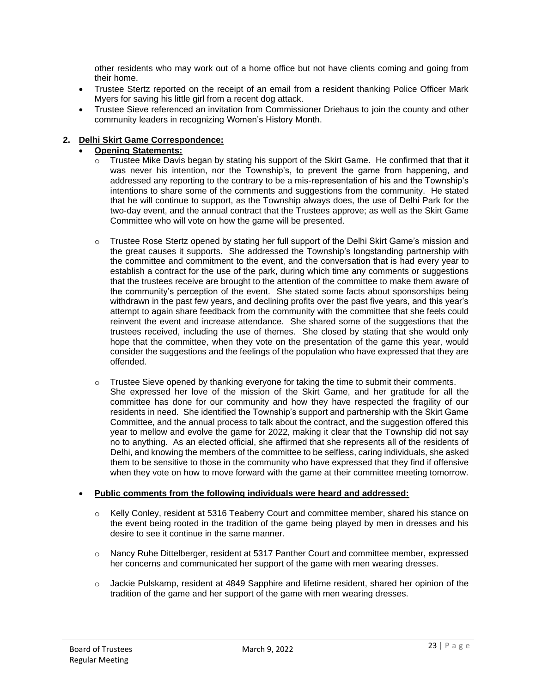other residents who may work out of a home office but not have clients coming and going from their home.

- Trustee Stertz reported on the receipt of an email from a resident thanking Police Officer Mark Myers for saving his little girl from a recent dog attack.
- Trustee Sieve referenced an invitation from Commissioner Driehaus to join the county and other community leaders in recognizing Women's History Month.

# **2. Delhi Skirt Game Correspondence:**

- **Opening Statements:**
	- $\circ$  Trustee Mike Davis began by stating his support of the Skirt Game. He confirmed that that it was never his intention, nor the Township's, to prevent the game from happening, and addressed any reporting to the contrary to be a mis-representation of his and the Township's intentions to share some of the comments and suggestions from the community. He stated that he will continue to support, as the Township always does, the use of Delhi Park for the two-day event, and the annual contract that the Trustees approve; as well as the Skirt Game Committee who will vote on how the game will be presented.
	- $\circ$  Trustee Rose Stertz opened by stating her full support of the Delhi Skirt Game's mission and the great causes it supports. She addressed the Township's longstanding partnership with the committee and commitment to the event, and the conversation that is had every year to establish a contract for the use of the park, during which time any comments or suggestions that the trustees receive are brought to the attention of the committee to make them aware of the community's perception of the event. She stated some facts about sponsorships being withdrawn in the past few years, and declining profits over the past five years, and this year's attempt to again share feedback from the community with the committee that she feels could reinvent the event and increase attendance. She shared some of the suggestions that the trustees received, including the use of themes. She closed by stating that she would only hope that the committee, when they vote on the presentation of the game this year, would consider the suggestions and the feelings of the population who have expressed that they are offended.
	- $\circ$  Trustee Sieve opened by thanking everyone for taking the time to submit their comments. She expressed her love of the mission of the Skirt Game, and her gratitude for all the committee has done for our community and how they have respected the fragility of our residents in need. She identified the Township's support and partnership with the Skirt Game Committee, and the annual process to talk about the contract, and the suggestion offered this year to mellow and evolve the game for 2022, making it clear that the Township did not say no to anything. As an elected official, she affirmed that she represents all of the residents of Delhi, and knowing the members of the committee to be selfless, caring individuals, she asked them to be sensitive to those in the community who have expressed that they find if offensive when they vote on how to move forward with the game at their committee meeting tomorrow.

### • **Public comments from the following individuals were heard and addressed:**

- o Kelly Conley, resident at 5316 Teaberry Court and committee member, shared his stance on the event being rooted in the tradition of the game being played by men in dresses and his desire to see it continue in the same manner.
- o Nancy Ruhe Dittelberger, resident at 5317 Panther Court and committee member, expressed her concerns and communicated her support of the game with men wearing dresses.
- $\circ$  Jackie Pulskamp, resident at 4849 Sapphire and lifetime resident, shared her opinion of the tradition of the game and her support of the game with men wearing dresses.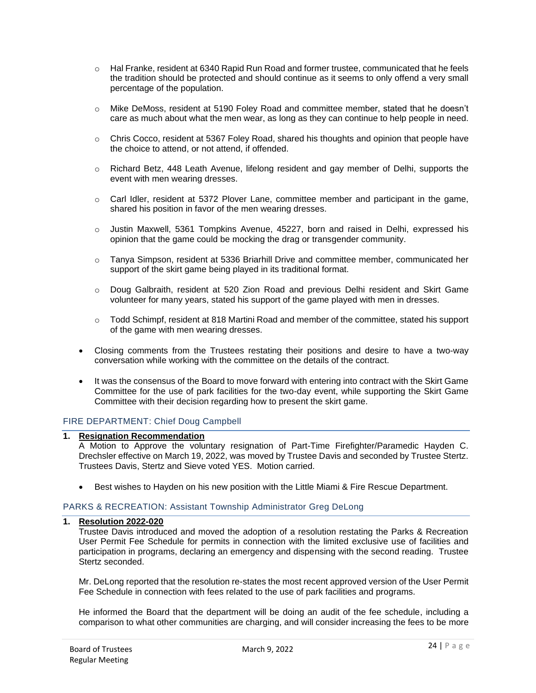- o Hal Franke, resident at 6340 Rapid Run Road and former trustee, communicated that he feels the tradition should be protected and should continue as it seems to only offend a very small percentage of the population.
- o Mike DeMoss, resident at 5190 Foley Road and committee member, stated that he doesn't care as much about what the men wear, as long as they can continue to help people in need.
- $\circ$  Chris Cocco, resident at 5367 Foley Road, shared his thoughts and opinion that people have the choice to attend, or not attend, if offended.
- o Richard Betz, 448 Leath Avenue, lifelong resident and gay member of Delhi, supports the event with men wearing dresses.
- $\circ$  Carl Idler, resident at 5372 Plover Lane, committee member and participant in the game, shared his position in favor of the men wearing dresses.
- $\circ$  Justin Maxwell, 5361 Tompkins Avenue, 45227, born and raised in Delhi, expressed his opinion that the game could be mocking the drag or transgender community.
- o Tanya Simpson, resident at 5336 Briarhill Drive and committee member, communicated her support of the skirt game being played in its traditional format.
- o Doug Galbraith, resident at 520 Zion Road and previous Delhi resident and Skirt Game volunteer for many years, stated his support of the game played with men in dresses.
- o Todd Schimpf, resident at 818 Martini Road and member of the committee, stated his support of the game with men wearing dresses.
- Closing comments from the Trustees restating their positions and desire to have a two-way conversation while working with the committee on the details of the contract.
- It was the consensus of the Board to move forward with entering into contract with the Skirt Game Committee for the use of park facilities for the two-day event, while supporting the Skirt Game Committee with their decision regarding how to present the skirt game.

## FIRE DEPARTMENT: Chief Doug Campbell

### **1. Resignation Recommendation**

A Motion to Approve the voluntary resignation of Part-Time Firefighter/Paramedic Hayden C. Drechsler effective on March 19, 2022, was moved by Trustee Davis and seconded by Trustee Stertz. Trustees Davis, Stertz and Sieve voted YES. Motion carried.

• Best wishes to Hayden on his new position with the Little Miami & Fire Rescue Department.

### PARKS & RECREATION: Assistant Township Administrator Greg DeLong

## **1. Resolution 2022-020**

Trustee Davis introduced and moved the adoption of a resolution restating the Parks & Recreation User Permit Fee Schedule for permits in connection with the limited exclusive use of facilities and participation in programs, declaring an emergency and dispensing with the second reading. Trustee Stertz seconded.

Mr. DeLong reported that the resolution re-states the most recent approved version of the User Permit Fee Schedule in connection with fees related to the use of park facilities and programs.

He informed the Board that the department will be doing an audit of the fee schedule, including a comparison to what other communities are charging, and will consider increasing the fees to be more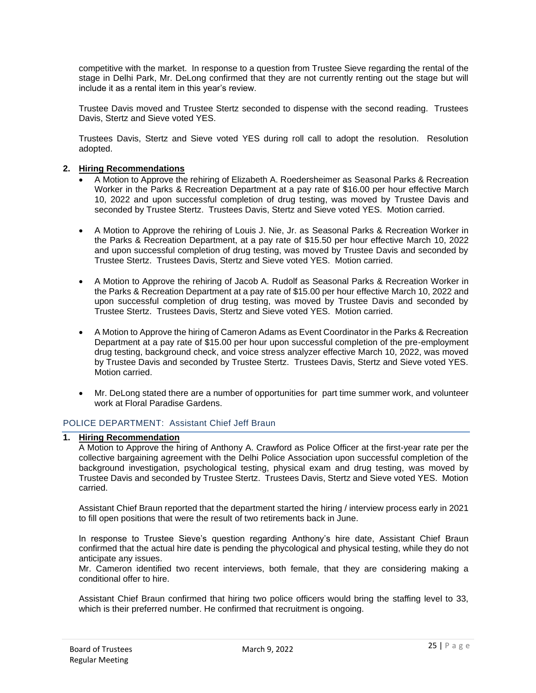competitive with the market. In response to a question from Trustee Sieve regarding the rental of the stage in Delhi Park, Mr. DeLong confirmed that they are not currently renting out the stage but will include it as a rental item in this year's review.

Trustee Davis moved and Trustee Stertz seconded to dispense with the second reading. Trustees Davis, Stertz and Sieve voted YES.

Trustees Davis, Stertz and Sieve voted YES during roll call to adopt the resolution. Resolution adopted.

## **2. Hiring Recommendations**

- A Motion to Approve the rehiring of Elizabeth A. Roedersheimer as Seasonal Parks & Recreation Worker in the Parks & Recreation Department at a pay rate of \$16.00 per hour effective March 10, 2022 and upon successful completion of drug testing, was moved by Trustee Davis and seconded by Trustee Stertz. Trustees Davis, Stertz and Sieve voted YES. Motion carried.
- A Motion to Approve the rehiring of Louis J. Nie, Jr. as Seasonal Parks & Recreation Worker in the Parks & Recreation Department, at a pay rate of \$15.50 per hour effective March 10, 2022 and upon successful completion of drug testing, was moved by Trustee Davis and seconded by Trustee Stertz. Trustees Davis, Stertz and Sieve voted YES. Motion carried.
- A Motion to Approve the rehiring of Jacob A. Rudolf as Seasonal Parks & Recreation Worker in the Parks & Recreation Department at a pay rate of \$15.00 per hour effective March 10, 2022 and upon successful completion of drug testing, was moved by Trustee Davis and seconded by Trustee Stertz. Trustees Davis, Stertz and Sieve voted YES. Motion carried.
- A Motion to Approve the hiring of Cameron Adams as Event Coordinator in the Parks & Recreation Department at a pay rate of \$15.00 per hour upon successful completion of the pre-employment drug testing, background check, and voice stress analyzer effective March 10, 2022, was moved by Trustee Davis and seconded by Trustee Stertz. Trustees Davis, Stertz and Sieve voted YES. Motion carried.
- Mr. DeLong stated there are a number of opportunities for part time summer work, and volunteer work at Floral Paradise Gardens.

# POLICE DEPARTMENT: Assistant Chief Jeff Braun

### **1. Hiring Recommendation**

A Motion to Approve the hiring of Anthony A. Crawford as Police Officer at the first-year rate per the collective bargaining agreement with the Delhi Police Association upon successful completion of the background investigation, psychological testing, physical exam and drug testing, was moved by Trustee Davis and seconded by Trustee Stertz. Trustees Davis, Stertz and Sieve voted YES. Motion carried.

Assistant Chief Braun reported that the department started the hiring / interview process early in 2021 to fill open positions that were the result of two retirements back in June.

In response to Trustee Sieve's question regarding Anthony's hire date, Assistant Chief Braun confirmed that the actual hire date is pending the phycological and physical testing, while they do not anticipate any issues.

Mr. Cameron identified two recent interviews, both female, that they are considering making a conditional offer to hire.

Assistant Chief Braun confirmed that hiring two police officers would bring the staffing level to 33, which is their preferred number. He confirmed that recruitment is ongoing.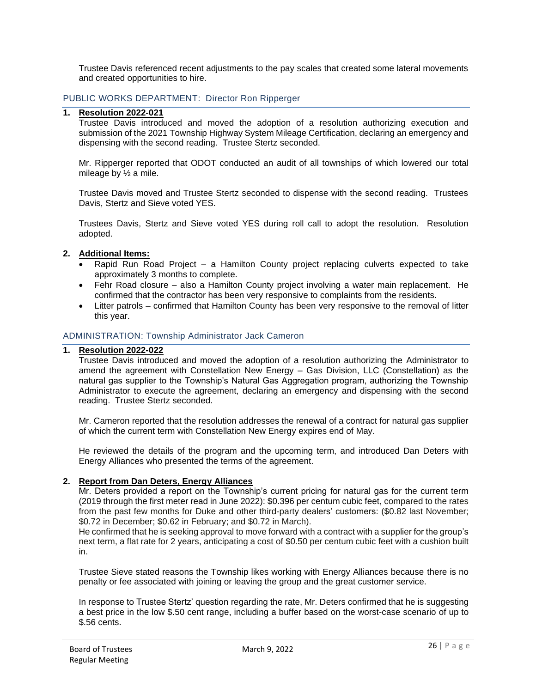Trustee Davis referenced recent adjustments to the pay scales that created some lateral movements and created opportunities to hire.

## PUBLIC WORKS DEPARTMENT: Director Ron Ripperger

### **1. Resolution 2022-021**

Trustee Davis introduced and moved the adoption of a resolution authorizing execution and submission of the 2021 Township Highway System Mileage Certification, declaring an emergency and dispensing with the second reading. Trustee Stertz seconded.

Mr. Ripperger reported that ODOT conducted an audit of all townships of which lowered our total mileage by ½ a mile.

Trustee Davis moved and Trustee Stertz seconded to dispense with the second reading. Trustees Davis, Stertz and Sieve voted YES.

Trustees Davis, Stertz and Sieve voted YES during roll call to adopt the resolution. Resolution adopted.

### **2. Additional Items:**

- Rapid Run Road Project a Hamilton County project replacing culverts expected to take approximately 3 months to complete.
- Fehr Road closure also a Hamilton County project involving a water main replacement. He confirmed that the contractor has been very responsive to complaints from the residents.
- Litter patrols confirmed that Hamilton County has been very responsive to the removal of litter this year.

### ADMINISTRATION: Township Administrator Jack Cameron

#### **1. Resolution 2022-022**

Trustee Davis introduced and moved the adoption of a resolution authorizing the Administrator to amend the agreement with Constellation New Energy – Gas Division, LLC (Constellation) as the natural gas supplier to the Township's Natural Gas Aggregation program, authorizing the Township Administrator to execute the agreement, declaring an emergency and dispensing with the second reading. Trustee Stertz seconded.

Mr. Cameron reported that the resolution addresses the renewal of a contract for natural gas supplier of which the current term with Constellation New Energy expires end of May.

He reviewed the details of the program and the upcoming term, and introduced Dan Deters with Energy Alliances who presented the terms of the agreement.

### **2. Report from Dan Deters, Energy Alliances**

Mr. Deters provided a report on the Township's current pricing for natural gas for the current term (2019 through the first meter read in June 2022): \$0.396 per centum cubic feet, compared to the rates from the past few months for Duke and other third-party dealers' customers: (\$0.82 last November; \$0.72 in December; \$0.62 in February; and \$0.72 in March).

He confirmed that he is seeking approval to move forward with a contract with a supplier for the group's next term, a flat rate for 2 years, anticipating a cost of \$0.50 per centum cubic feet with a cushion built in.

Trustee Sieve stated reasons the Township likes working with Energy Alliances because there is no penalty or fee associated with joining or leaving the group and the great customer service.

In response to Trustee Stertz' question regarding the rate, Mr. Deters confirmed that he is suggesting a best price in the low \$.50 cent range, including a buffer based on the worst-case scenario of up to \$.56 cents.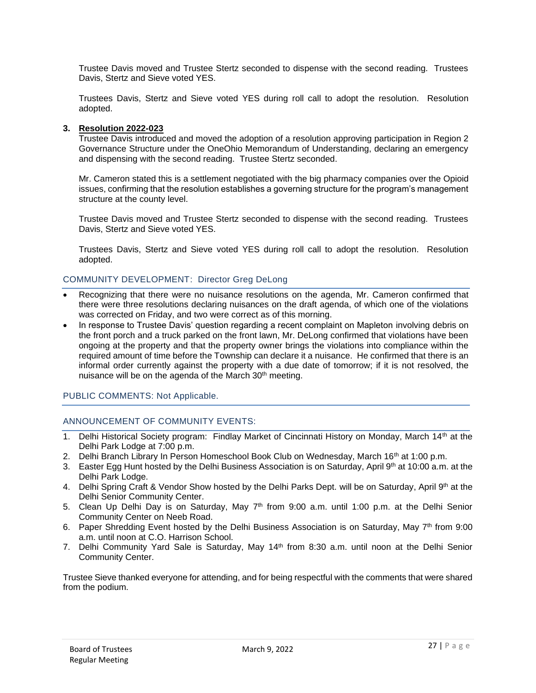Trustee Davis moved and Trustee Stertz seconded to dispense with the second reading. Trustees Davis, Stertz and Sieve voted YES.

Trustees Davis, Stertz and Sieve voted YES during roll call to adopt the resolution. Resolution adopted.

### **3. Resolution 2022-023**

Trustee Davis introduced and moved the adoption of a resolution approving participation in Region 2 Governance Structure under the OneOhio Memorandum of Understanding, declaring an emergency and dispensing with the second reading. Trustee Stertz seconded.

Mr. Cameron stated this is a settlement negotiated with the big pharmacy companies over the Opioid issues, confirming that the resolution establishes a governing structure for the program's management structure at the county level.

Trustee Davis moved and Trustee Stertz seconded to dispense with the second reading. Trustees Davis, Stertz and Sieve voted YES.

Trustees Davis, Stertz and Sieve voted YES during roll call to adopt the resolution. Resolution adopted.

## COMMUNITY DEVELOPMENT: Director Greg DeLong

- Recognizing that there were no nuisance resolutions on the agenda, Mr. Cameron confirmed that there were three resolutions declaring nuisances on the draft agenda, of which one of the violations was corrected on Friday, and two were correct as of this morning.
- In response to Trustee Davis' question regarding a recent complaint on Mapleton involving debris on the front porch and a truck parked on the front lawn, Mr. DeLong confirmed that violations have been ongoing at the property and that the property owner brings the violations into compliance within the required amount of time before the Township can declare it a nuisance. He confirmed that there is an informal order currently against the property with a due date of tomorrow; if it is not resolved, the nuisance will be on the agenda of the March 30<sup>th</sup> meeting.

## PUBLIC COMMENTS: Not Applicable.

## ANNOUNCEMENT OF COMMUNITY EVENTS:

- 1. Delhi Historical Society program: Findlay Market of Cincinnati History on Monday, March 14<sup>th</sup> at the Delhi Park Lodge at 7:00 p.m.
- 2. Delhi Branch Library In Person Homeschool Book Club on Wednesday, March 16<sup>th</sup> at 1:00 p.m.
- 3. Easter Egg Hunt hosted by the Delhi Business Association is on Saturday, April 9th at 10:00 a.m. at the Delhi Park Lodge.
- 4. Delhi Spring Craft & Vendor Show hosted by the Delhi Parks Dept. will be on Saturday, April 9th at the Delhi Senior Community Center.
- 5. Clean Up Delhi Day is on Saturday, May  $7<sup>th</sup>$  from 9:00 a.m. until 1:00 p.m. at the Delhi Senior Community Center on Neeb Road.
- 6. Paper Shredding Event hosted by the Delhi Business Association is on Saturday, May  $7<sup>th</sup>$  from 9:00 a.m. until noon at C.O. Harrison School.
- 7. Delhi Community Yard Sale is Saturday, May 14th from 8:30 a.m. until noon at the Delhi Senior Community Center.

Trustee Sieve thanked everyone for attending, and for being respectful with the comments that were shared from the podium.